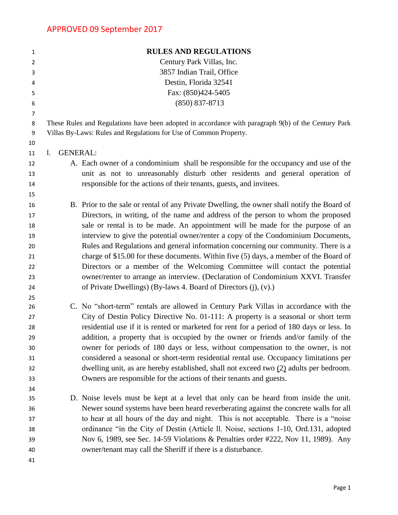| 1              |                 | <b>RULES AND REGULATIONS</b>                                                                        |
|----------------|-----------------|-----------------------------------------------------------------------------------------------------|
| $\overline{2}$ |                 | Century Park Villas, Inc.                                                                           |
| 3              |                 | 3857 Indian Trail, Office                                                                           |
| 4              |                 | Destin, Florida 32541                                                                               |
| 5              |                 | Fax: (850)424-5405                                                                                  |
| 6              |                 | $(850) 837 - 8713$                                                                                  |
| 7              |                 |                                                                                                     |
| 8              |                 | These Rules and Regulations have been adopted in accordance with paragraph 9(b) of the Century Park |
| 9              |                 | Villas By-Laws: Rules and Regulations for Use of Common Property.                                   |
| 10             |                 |                                                                                                     |
| 11             | <b>GENERAL:</b> |                                                                                                     |
| 12             |                 | A. Each owner of a condominium shall be responsible for the occupancy and use of the                |
| 13             |                 | unit as not to unreasonably disturb other residents and general operation of                        |
| 14             |                 | responsible for the actions of their tenants, guests, and invitees.                                 |
| 15             |                 |                                                                                                     |
| 16             |                 | B. Prior to the sale or rental of any Private Dwelling, the owner shall notify the Board of         |
| 17             |                 | Directors, in writing, of the name and address of the person to whom the proposed                   |
| 18             |                 | sale or rental is to be made. An appointment will be made for the purpose of an                     |
| 19             |                 | interview to give the potential owner/renter a copy of the Condominium Documents,                   |
| 20             |                 | Rules and Regulations and general information concerning our community. There is a                  |
| 21             |                 | charge of \$15.00 for these documents. Within five (5) days, a member of the Board of               |
| 22             |                 | Directors or a member of the Welcoming Committee will contact the potential                         |
| 23             |                 | owner/renter to arrange an interview. (Declaration of Condominium XXVI. Transfer                    |
| 24             |                 | of Private Dwellings) (By-laws 4. Board of Directors (j), (v).)                                     |
| 25             |                 |                                                                                                     |
| 26             |                 | C. No "short-term" rentals are allowed in Century Park Villas in accordance with the                |
| 27             |                 | City of Destin Policy Directive No. 01-111: A property is a seasonal or short term                  |
| 28             |                 | residential use if it is rented or marketed for rent for a period of 180 days or less. In           |
| 29             |                 | addition, a property that is occupied by the owner or friends and/or family of the                  |
| 30             |                 | owner for periods of 180 days or less, without compensation to the owner, is not                    |
| 31             |                 | considered a seasonal or short-term residential rental use. Occupancy limitations per               |
| 32             |                 | dwelling unit, as are hereby established, shall not exceed two $(2)$ adults per bedroom.            |
| 33             |                 | Owners are responsible for the actions of their tenants and guests.                                 |
| 34<br>35       |                 | D. Noise levels must be kept at a level that only can be heard from inside the unit.                |
| 36             |                 | Newer sound systems have been heard reverberating against the concrete walls for all                |
| 37             |                 | to hear at all hours of the day and night. This is not acceptable. There is a "noise"               |
| 38             |                 | ordinance "in the City of Destin (Article II. Noise, sections 1-10, Ord.131, adopted                |
| 39             |                 | Nov 6, 1989, see Sec. 14-59 Violations & Penalties order #222, Nov 11, 1989). Any                   |
| 40             |                 | owner/tenant may call the Sheriff if there is a disturbance.                                        |
| 41             |                 |                                                                                                     |
|                |                 |                                                                                                     |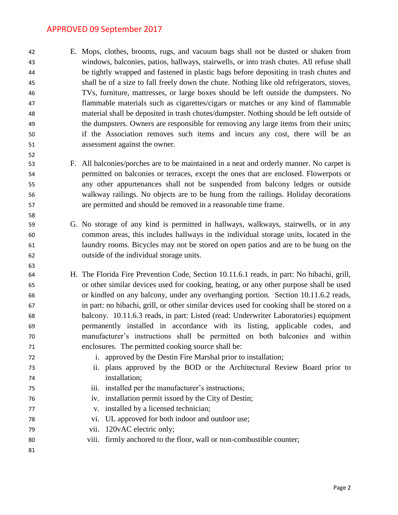E. Mops, clothes, brooms, rugs, and vacuum bags shall not be dusted or shaken from windows, balconies, patios, hallways, stairwells, or into trash chutes. All refuse shall be tightly wrapped and fastened in plastic bags before depositing in trash chutes and shall be of a size to fall freely down the chute. Nothing like old refrigerators, stoves, TVs, furniture, mattresses, or large boxes should be left outside the dumpsters. No flammable materials such as cigarettes/cigars or matches or any kind of flammable material shall be deposited in trash chutes/dumpster. Nothing should be left outside of the dumpsters. Owners are responsible for removing any large items from their units; if the Association removes such items and incurs any cost, there will be an assessment against the owner.

- F. All balconies/porches are to be maintained in a neat and orderly manner. No carpet is permitted on balconies or terraces, except the ones that are enclosed. Flowerpots or any other appurtenances shall not be suspended from balcony ledges or outside walkway railings. No objects are to be hung from the railings. Holiday decorations are permitted and should be removed in a reasonable time frame.
- G. No storage of any kind is permitted in hallways, walkways, stairwells, or in any common areas, this includes hallways in the individual storage units, located in the laundry rooms. Bicycles may not be stored on open patios and are to be hung on the outside of the individual storage units.
- H. The Florida Fire Prevention Code, Section 10.11.6.1 reads, in part: No hibachi, grill, or other similar devices used for cooking, heating, or any other purpose shall be used or kindled on any balcony, under any overhanging portion. Section 10.11.6.2 reads, in part: no hibachi, grill, or other similar devices used for cooking shall be stored on a balcony. 10.11.6.3 reads, in part: Listed (read: Underwriter Laboratories) equipment permanently installed in accordance with its listing, applicable codes, and manufacturer's instructions shall be permitted on both balconies and within enclosures. The permitted cooking source shall be:
- i. approved by the Destin Fire Marshal prior to installation;
- ii. plans approved by the BOD or the Architectural Review Board prior to installation;
- iii. installed per the manufacturer's instructions;
- iv. installation permit issued by the City of Destin;
- v. installed by a licensed technician;
- vi. UL approved for both indoor and outdoor use;
- vii. 120vAC electric only;
- viii. firmly anchored to the floor, wall or non-combustible counter;
-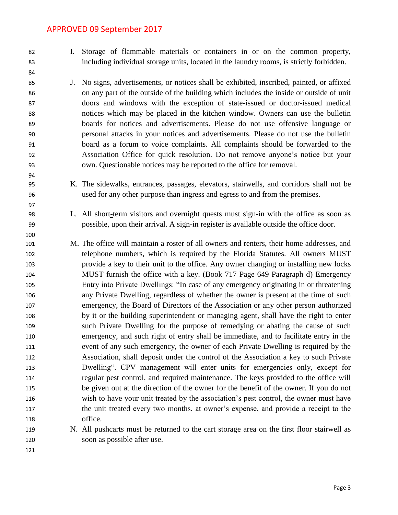I. Storage of flammable materials or containers in or on the common property, including individual storage units, located in the laundry rooms, is strictly forbidden.

- J. No signs, advertisements, or notices shall be exhibited, inscribed, painted, or affixed on any part of the outside of the building which includes the inside or outside of unit doors and windows with the exception of state-issued or doctor-issued medical notices which may be placed in the kitchen window. Owners can use the bulletin boards for notices and advertisements. Please do not use offensive language or personal attacks in your notices and advertisements. Please do not use the bulletin board as a forum to voice complaints. All complaints should be forwarded to the Association Office for quick resolution. Do not remove anyone's notice but your own. Questionable notices may be reported to the office for removal.
- K. The sidewalks, entrances, passages, elevators, stairwells, and corridors shall not be used for any other purpose than ingress and egress to and from the premises.
- L. All short-term visitors and overnight quests must sign-in with the office as soon as possible, upon their arrival. A sign-in register is available outside the office door.
- M. The office will maintain a roster of all owners and renters, their home addresses, and telephone numbers, which is required by the Florida Statutes. All owners MUST provide a key to their unit to the office. Any owner changing or installing new locks MUST furnish the office with a key. (Book 717 Page 649 Paragraph d) Emergency Entry into Private Dwellings: "In case of any emergency originating in or threatening any Private Dwelling, regardless of whether the owner is present at the time of such emergency, the Board of Directors of the Association or any other person authorized by it or the building superintendent or managing agent, shall have the right to enter such Private Dwelling for the purpose of remedying or abating the cause of such emergency, and such right of entry shall be immediate, and to facilitate entry in the event of any such emergency, the owner of each Private Dwelling is required by the Association, shall deposit under the control of the Association a key to such Private Dwelling". CPV management will enter units for emergencies only, except for regular pest control, and required maintenance. The keys provided to the office will be given out at the direction of the owner for the benefit of the owner. If you do not wish to have your unit treated by the association's pest control, the owner must have the unit treated every two months, at owner's expense, and provide a receipt to the office.
- N. All pushcarts must be returned to the cart storage area on the first floor stairwell as soon as possible after use.
-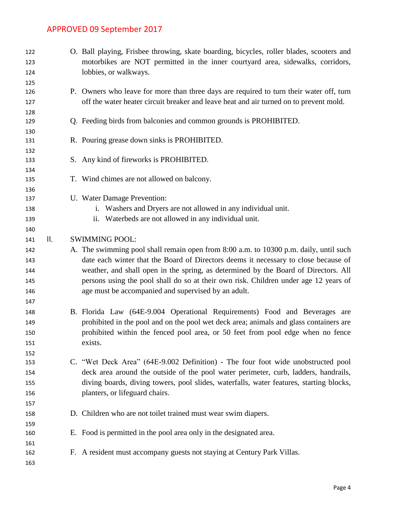| 122<br>123 |     | O. Ball playing, Frisbee throwing, skate boarding, bicycles, roller blades, scooters and<br>motorbikes are NOT permitted in the inner courtyard area, sidewalks, corridors, |
|------------|-----|-----------------------------------------------------------------------------------------------------------------------------------------------------------------------------|
| 124        |     | lobbies, or walkways.                                                                                                                                                       |
| 125        |     |                                                                                                                                                                             |
| 126        |     | P. Owners who leave for more than three days are required to turn their water off, turn                                                                                     |
| 127        |     | off the water heater circuit breaker and leave heat and air turned on to prevent mold.                                                                                      |
| 128        |     |                                                                                                                                                                             |
| 129        |     | Q. Feeding birds from balconies and common grounds is PROHIBITED.                                                                                                           |
| 130        |     |                                                                                                                                                                             |
| 131        |     | R. Pouring grease down sinks is PROHIBITED.                                                                                                                                 |
| 132        |     |                                                                                                                                                                             |
| 133        |     | S. Any kind of fireworks is PROHIBITED.                                                                                                                                     |
| 134        |     |                                                                                                                                                                             |
| 135        |     | T. Wind chimes are not allowed on balcony.                                                                                                                                  |
| 136        |     |                                                                                                                                                                             |
| 137        |     | U. Water Damage Prevention:                                                                                                                                                 |
| 138        |     | i. Washers and Dryers are not allowed in any individual unit.                                                                                                               |
| 139        |     | Waterbeds are not allowed in any individual unit.<br>ii.                                                                                                                    |
| 140        |     |                                                                                                                                                                             |
| 141        | ΙΙ. | <b>SWIMMING POOL:</b>                                                                                                                                                       |
| 142        |     | A. The swimming pool shall remain open from 8:00 a.m. to 10300 p.m. daily, until such                                                                                       |
| 143        |     | date each winter that the Board of Directors deems it necessary to close because of                                                                                         |
| 144        |     | weather, and shall open in the spring, as determined by the Board of Directors. All                                                                                         |
| 145        |     | persons using the pool shall do so at their own risk. Children under age 12 years of                                                                                        |
| 146        |     | age must be accompanied and supervised by an adult.                                                                                                                         |
| 147        |     |                                                                                                                                                                             |
| 148        |     | B. Florida Law (64E-9.004 Operational Requirements) Food and Beverages are                                                                                                  |
| 149        |     | prohibited in the pool and on the pool wet deck area; animals and glass containers are                                                                                      |
| 150        |     | prohibited within the fenced pool area, or 50 feet from pool edge when no fence                                                                                             |
| 151        |     | exists.                                                                                                                                                                     |
| 152        |     |                                                                                                                                                                             |
| 153        |     | C. "Wet Deck Area" (64E-9.002 Definition) - The four foot wide unobstructed pool                                                                                            |
| 154        |     | deck area around the outside of the pool water perimeter, curb, ladders, handrails,                                                                                         |
| 155        |     | diving boards, diving towers, pool slides, waterfalls, water features, starting blocks,                                                                                     |
| 156        |     | planters, or lifeguard chairs.                                                                                                                                              |
| 157        |     |                                                                                                                                                                             |
| 158        |     | D. Children who are not toilet trained must wear swim diapers.                                                                                                              |
| 159        |     |                                                                                                                                                                             |
| 160        |     | E. Food is permitted in the pool area only in the designated area.                                                                                                          |
| 161        |     |                                                                                                                                                                             |
| 162        |     | F. A resident must accompany guests not staying at Century Park Villas.                                                                                                     |
| 163        |     |                                                                                                                                                                             |
|            |     |                                                                                                                                                                             |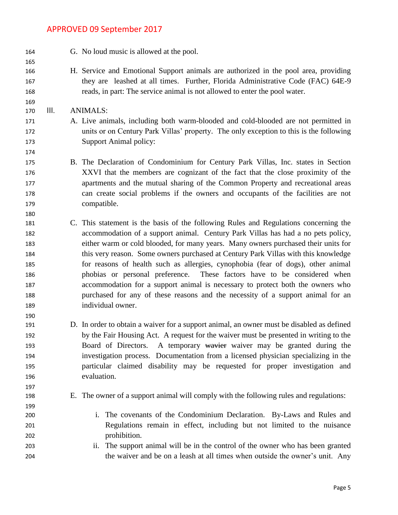- G. No loud music is allowed at the pool. H. Service and Emotional Support animals are authorized in the pool area, providing they are leashed at all times. Further, Florida Administrative Code (FAC) 64E-9 reads, in part: The service animal is not allowed to enter the pool water. III. ANIMALS: A. Live animals, including both warm-blooded and cold-blooded are not permitted in units or on Century Park Villas' property. The only exception to this is the following Support Animal policy: B. The Declaration of Condominium for Century Park Villas, Inc. states in Section XXVI that the members are cognizant of the fact that the close proximity of the apartments and the mutual sharing of the Common Property and recreational areas can create social problems if the owners and occupants of the facilities are not compatible. C. This statement is the basis of the following Rules and Regulations concerning the accommodation of a support animal. Century Park Villas has had a no pets policy, either warm or cold blooded, for many years. Many owners purchased their units for this very reason. Some owners purchased at Century Park Villas with this knowledge for reasons of health such as allergies, cynophobia (fear of dogs), other animal phobias or personal preference. These factors have to be considered when accommodation for a support animal is necessary to protect both the owners who purchased for any of these reasons and the necessity of a support animal for an individual owner. D. In order to obtain a waiver for a support animal, an owner must be disabled as defined by the Fair Housing Act. A request for the waiver must be presented in writing to the 193 Board of Directors. A temporary wavier waiver may be granted during the investigation process. Documentation from a licensed physician specializing in the particular claimed disability may be requested for proper investigation and evaluation. E. The owner of a support animal will comply with the following rules and regulations: i. The covenants of the Condominium Declaration. By-Laws and Rules and Regulations remain in effect, including but not limited to the nuisance prohibition. ii. The support animal will be in the control of the owner who has been granted
	- the waiver and be on a leash at all times when outside the owner's unit. Any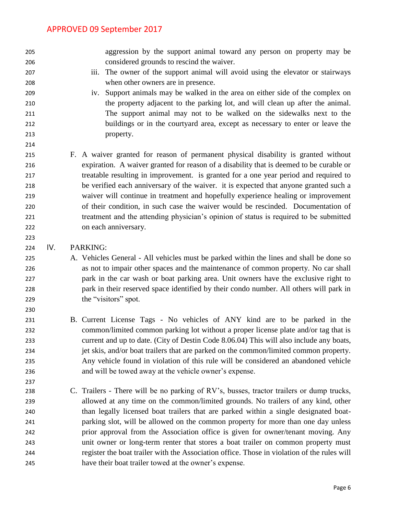aggression by the support animal toward any person on property may be considered grounds to rescind the waiver. iii. The owner of the support animal will avoid using the elevator or stairways when other owners are in presence. iv. Support animals may be walked in the area on either side of the complex on the property adjacent to the parking lot, and will clean up after the animal. The support animal may not to be walked on the sidewalks next to the buildings or in the courtyard area, except as necessary to enter or leave the property. F. A waiver granted for reason of permanent physical disability is granted without expiration. A waiver granted for reason of a disability that is deemed to be curable or treatable resulting in improvement. is granted for a one year period and required to be verified each anniversary of the waiver. it is expected that anyone granted such a waiver will continue in treatment and hopefully experience healing or improvement of their condition, in such case the waiver would be rescinded. Documentation of treatment and the attending physician's opinion of status is required to be submitted on each anniversary. IV. PARKING:

- A. Vehicles General All vehicles must be parked within the lines and shall be done so as not to impair other spaces and the maintenance of common property. No car shall park in the car wash or boat parking area. Unit owners have the exclusive right to park in their reserved space identified by their condo number. All others will park in 229 the "visitors" spot.
- B. Current License Tags No vehicles of ANY kind are to be parked in the common/limited common parking lot without a proper license plate and/or tag that is current and up to date. (City of Destin Code 8.06.04) This will also include any boats, jet skis, and/or boat trailers that are parked on the common/limited common property. Any vehicle found in violation of this rule will be considered an abandoned vehicle and will be towed away at the vehicle owner's expense.
- C. Trailers There will be no parking of RV's, busses, tractor trailers or dump trucks, allowed at any time on the common/limited grounds. No trailers of any kind, other than legally licensed boat trailers that are parked within a single designated boat- parking slot, will be allowed on the common property for more than one day unless prior approval from the Association office is given for owner/tenant moving. Any unit owner or long-term renter that stores a boat trailer on common property must register the boat trailer with the Association office. Those in violation of the rules will have their boat trailer towed at the owner's expense.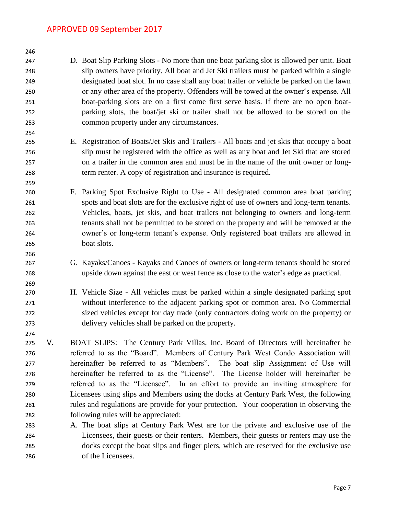D. Boat Slip Parking Slots - No more than one boat parking slot is allowed per unit. Boat slip owners have priority. All boat and Jet Ski trailers must be parked within a single designated boat slot. In no case shall any boat trailer or vehicle be parked on the lawn or any other area of the property. Offenders will be towed at the owner's expense. All boat-parking slots are on a first come first serve basis. If there are no open boat- parking slots, the boat/jet ski or trailer shall not be allowed to be stored on the common property under any circumstances.

- E. Registration of Boats/Jet Skis and Trailers All boats and jet skis that occupy a boat slip must be registered with the office as well as any boat and Jet Ski that are stored on a trailer in the common area and must be in the name of the unit owner or long-term renter. A copy of registration and insurance is required.
- F. Parking Spot Exclusive Right to Use All designated common area boat parking spots and boat slots are for the exclusive right of use of owners and long-term tenants. Vehicles, boats, jet skis, and boat trailers not belonging to owners and long-term tenants shall not be permitted to be stored on the property and will be removed at the owner's or long-term tenant's expense. Only registered boat trailers are allowed in boat slots.
- G. Kayaks/Canoes Kayaks and Canoes of owners or long-term tenants should be stored upside down against the east or west fence as close to the water's edge as practical.
- H. Vehicle Size All vehicles must be parked within a single designated parking spot without interference to the adjacent parking spot or common area. No Commercial sized vehicles except for day trade (only contractors doing work on the property) or delivery vehicles shall be parked on the property.
- V. BOAT SLIPS: The Century Park Villas, Inc. Board of Directors will hereinafter be referred to as the "Board". Members of Century Park West Condo Association will hereinafter be referred to as "Members". The boat slip Assignment of Use will hereinafter be referred to as the "License". The License holder will hereinafter be referred to as the "Licensee". In an effort to provide an inviting atmosphere for Licensees using slips and Members using the docks at Century Park West, the following rules and regulations are provide for your protection. Your cooperation in observing the following rules will be appreciated:
- A. The boat slips at Century Park West are for the private and exclusive use of the Licensees, their guests or their renters. Members, their guests or renters may use the docks except the boat slips and finger piers, which are reserved for the exclusive use of the Licensees.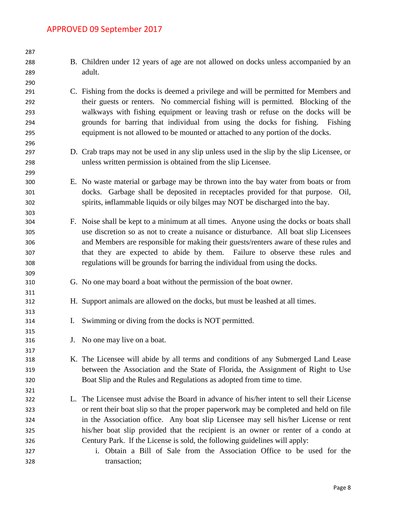| 287 |                                                                                            |
|-----|--------------------------------------------------------------------------------------------|
| 288 | B. Children under 12 years of age are not allowed on docks unless accompanied by an        |
| 289 | adult.                                                                                     |
| 290 |                                                                                            |
| 291 | C. Fishing from the docks is deemed a privilege and will be permitted for Members and      |
| 292 | their guests or renters. No commercial fishing will is permitted. Blocking of the          |
| 293 | walkways with fishing equipment or leaving trash or refuse on the docks will be            |
| 294 | grounds for barring that individual from using the docks for fishing. Fishing              |
| 295 | equipment is not allowed to be mounted or attached to any portion of the docks.            |
| 296 |                                                                                            |
| 297 | D. Crab traps may not be used in any slip unless used in the slip by the slip Licensee, or |
| 298 | unless written permission is obtained from the slip Licensee.                              |
| 299 |                                                                                            |
| 300 | E. No waste material or garbage may be thrown into the bay water from boats or from        |
| 301 | docks. Garbage shall be deposited in receptacles provided for that purpose. Oil,           |
| 302 | spirits, inflammable liquids or oily bilges may NOT be discharged into the bay.            |
| 303 |                                                                                            |
| 304 | F. Noise shall be kept to a minimum at all times. Anyone using the docks or boats shall    |
| 305 | use discretion so as not to create a nuisance or disturbance. All boat slip Licensees      |
| 306 | and Members are responsible for making their guests/renters aware of these rules and       |
| 307 | that they are expected to abide by them. Failure to observe these rules and                |
| 308 | regulations will be grounds for barring the individual from using the docks.               |
| 309 |                                                                                            |
| 310 | G. No one may board a boat without the permission of the boat owner.                       |
| 311 |                                                                                            |
| 312 | H. Support animals are allowed on the docks, but must be leashed at all times.             |
| 313 |                                                                                            |
| 314 | I. Swimming or diving from the docks is NOT permitted.                                     |
| 315 |                                                                                            |
| 316 | J. No one may live on a boat.                                                              |
| 317 |                                                                                            |
| 318 | K. The Licensee will abide by all terms and conditions of any Submerged Land Lease         |
| 319 | between the Association and the State of Florida, the Assignment of Right to Use           |
| 320 | Boat Slip and the Rules and Regulations as adopted from time to time.                      |
| 321 |                                                                                            |
| 322 | L. The Licensee must advise the Board in advance of his/her intent to sell their License   |
| 323 | or rent their boat slip so that the proper paperwork may be completed and held on file     |
| 324 | in the Association office. Any boat slip Licensee may sell his/her License or rent         |
| 325 | his/her boat slip provided that the recipient is an owner or renter of a condo at          |
| 326 | Century Park. If the License is sold, the following guidelines will apply:                 |
| 327 | Obtain a Bill of Sale from the Association Office to be used for the<br>i.                 |
| 328 | transaction;                                                                               |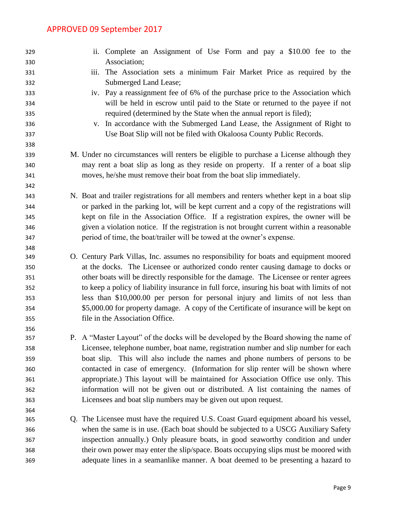| 329 | ii. Complete an Assignment of Use Form and pay a \$10.00 fee to the                         |
|-----|---------------------------------------------------------------------------------------------|
| 330 | Association;                                                                                |
| 331 | The Association sets a minimum Fair Market Price as required by the<br>iii.                 |
| 332 | Submerged Land Lease;                                                                       |
| 333 | iv. Pay a reassignment fee of 6% of the purchase price to the Association which             |
| 334 | will be held in escrow until paid to the State or returned to the payee if not              |
| 335 | required (determined by the State when the annual report is filed);                         |
| 336 | v. In accordance with the Submerged Land Lease, the Assignment of Right to                  |
| 337 | Use Boat Slip will not be filed with Okaloosa County Public Records.                        |
| 338 |                                                                                             |
| 339 | M. Under no circumstances will renters be eligible to purchase a License although they      |
| 340 | may rent a boat slip as long as they reside on property. If a renter of a boat slip         |
| 341 | moves, he/she must remove their boat from the boat slip immediately.                        |
| 342 |                                                                                             |
| 343 | N. Boat and trailer registrations for all members and renters whether kept in a boat slip   |
| 344 | or parked in the parking lot, will be kept current and a copy of the registrations will     |
| 345 | kept on file in the Association Office. If a registration expires, the owner will be        |
| 346 | given a violation notice. If the registration is not brought current within a reasonable    |
| 347 | period of time, the boat/trailer will be towed at the owner's expense.                      |
| 348 |                                                                                             |
| 349 | O. Century Park Villas, Inc. assumes no responsibility for boats and equipment moored       |
| 350 | at the docks. The Licensee or authorized condo renter causing damage to docks or            |
| 351 | other boats will be directly responsible for the damage. The Licensee or renter agrees      |
| 352 | to keep a policy of liability insurance in full force, insuring his boat with limits of not |
| 353 | less than \$10,000.00 per person for personal injury and limits of not less than            |
| 354 | \$5,000.00 for property damage. A copy of the Certificate of insurance will be kept on      |
| 355 | file in the Association Office.                                                             |
| 356 |                                                                                             |
| 357 | P. A "Master Layout" of the docks will be developed by the Board showing the name of        |
| 358 | Licensee, telephone number, boat name, registration number and slip number for each         |
| 359 | boat slip. This will also include the names and phone numbers of persons to be              |
| 360 | contacted in case of emergency. (Information for slip renter will be shown where            |
| 361 | appropriate.) This layout will be maintained for Association Office use only. This          |
| 362 | information will not be given out or distributed. A list containing the names of            |
| 363 | Licensees and boat slip numbers may be given out upon request.                              |
| 364 |                                                                                             |
| 365 | Q. The Licensee must have the required U.S. Coast Guard equipment aboard his vessel,        |
| 366 | when the same is in use. (Each boat should be subjected to a USCG Auxiliary Safety          |
| 367 | inspection annually.) Only pleasure boats, in good seaworthy condition and under            |
| 368 | their own power may enter the slip/space. Boats occupying slips must be moored with         |
| 369 | adequate lines in a seamanlike manner. A boat deemed to be presenting a hazard to           |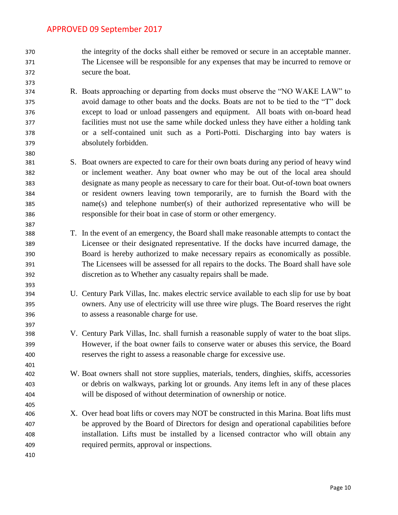- the integrity of the docks shall either be removed or secure in an acceptable manner. The Licensee will be responsible for any expenses that may be incurred to remove or secure the boat.
- R. Boats approaching or departing from docks must observe the "NO WAKE LAW" to avoid damage to other boats and the docks. Boats are not to be tied to the "T" dock except to load or unload passengers and equipment. All boats with on-board head facilities must not use the same while docked unless they have either a holding tank or a self-contained unit such as a Porti-Potti. Discharging into bay waters is absolutely forbidden.
- S. Boat owners are expected to care for their own boats during any period of heavy wind or inclement weather. Any boat owner who may be out of the local area should designate as many people as necessary to care for their boat. Out-of-town boat owners or resident owners leaving town temporarily, are to furnish the Board with the name(s) and telephone number(s) of their authorized representative who will be responsible for their boat in case of storm or other emergency.
- T. In the event of an emergency, the Board shall make reasonable attempts to contact the Licensee or their designated representative. If the docks have incurred damage, the Board is hereby authorized to make necessary repairs as economically as possible. The Licensees will be assessed for all repairs to the docks. The Board shall have sole discretion as to Whether any casualty repairs shall be made.
- U. Century Park Villas, Inc. makes electric service available to each slip for use by boat owners. Any use of electricity will use three wire plugs. The Board reserves the right to assess a reasonable charge for use.
- V. Century Park Villas, Inc. shall furnish a reasonable supply of water to the boat slips. However, if the boat owner fails to conserve water or abuses this service, the Board reserves the right to assess a reasonable charge for excessive use.
- W. Boat owners shall not store supplies, materials, tenders, dinghies, skiffs, accessories or debris on walkways, parking lot or grounds. Any items left in any of these places will be disposed of without determination of ownership or notice.
- X. Over head boat lifts or covers may NOT be constructed in this Marina. Boat lifts must be approved by the Board of Directors for design and operational capabilities before installation. Lifts must be installed by a licensed contractor who will obtain any required permits, approval or inspections.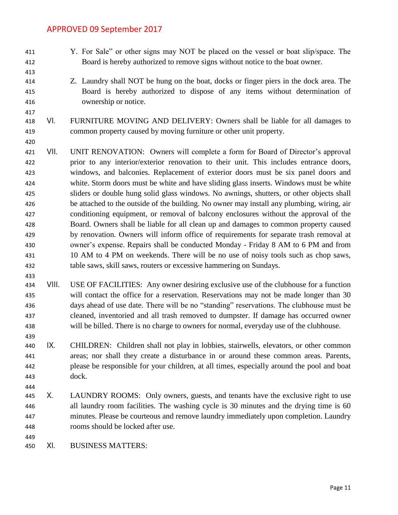- Y. For Sale" or other signs may NOT be placed on the vessel or boat slip/space. The Board is hereby authorized to remove signs without notice to the boat owner.
- 
- 
- Z. Laundry shall NOT be hung on the boat, docks or finger piers in the dock area. The Board is hereby authorized to dispose of any items without determination of ownership or notice.
- VI. FURNITURE MOVING AND DELIVERY: Owners shall be liable for all damages to common property caused by moving furniture or other unit property.
- 

- VII. UNIT RENOVATION: Owners will complete a form for Board of Director's approval prior to any interior/exterior renovation to their unit. This includes entrance doors, windows, and balconies. Replacement of exterior doors must be six panel doors and white. Storm doors must be white and have sliding glass inserts. Windows must be white sliders or double hung solid glass windows. No awnings, shutters, or other objects shall be attached to the outside of the building. No owner may install any plumbing, wiring, air conditioning equipment, or removal of balcony enclosures without the approval of the Board. Owners shall be liable for all clean up and damages to common property caused by renovation. Owners will inform office of requirements for separate trash removal at owner's expense. Repairs shall be conducted Monday - Friday 8 AM to 6 PM and from 10 AM to 4 PM on weekends. There will be no use of noisy tools such as chop saws, table saws, skill saws, routers or excessive hammering on Sundays.
- VIII. USE OF FACILITIES: Any owner desiring exclusive use of the clubhouse for a function will contact the office for a reservation. Reservations may not be made longer than 30 days ahead of use date. There will be no "standing" reservations. The clubhouse must be cleaned, inventoried and all trash removed to dumpster. If damage has occurred owner will be billed. There is no charge to owners for normal, everyday use of the clubhouse.
- IX. CHILDREN: Children shall not play in lobbies, stairwells, elevators, or other common areas; nor shall they create a disturbance in or around these common areas. Parents, please be responsible for your children, at all times, especially around the pool and boat dock.
- 445 X. LAUNDRY ROOMS: Only owners, guests, and tenants have the exclusive right to use all laundry room facilities. The washing cycle is 30 minutes and the drying time is 60 minutes. Please be courteous and remove laundry immediately upon completion. Laundry rooms should be locked after use.
- 
- XI. BUSINESS MATTERS: